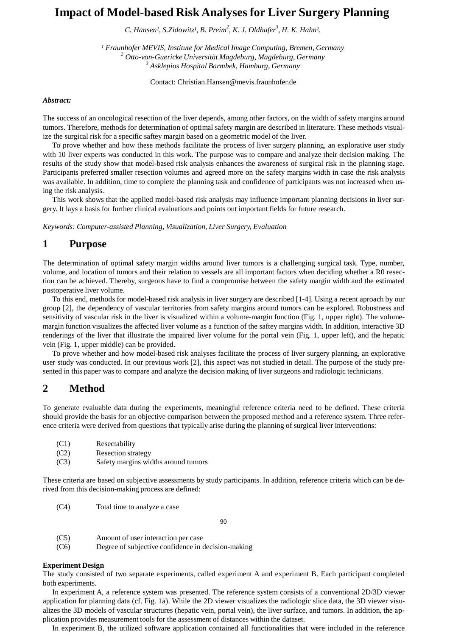# **Impact of Model-based Risk Analyses for Liver Surgery Planning**

*C. Hansen¹, S.Zidowitz¹, B. Preim<sup>2</sup> , K. J. Oldhafer 3 , H. K. Hahn¹.*

*¹ Fraunhofer MEVIS, Institute for Medical Image Computing, Bremen, Germany <sup>2</sup> Otto-von-Guericke Universität Magdeburg, Magdeburg, Germany <sup>3</sup> Asklepios Hospital Barmbek, Hamburg, Germany*

Contact: [Christian.Hansen@mevis.fraunhofer.de](mailto:Christian.Hansen@mevis.fraunhofer.de)

#### *Abstract:*

The success of an oncological resection of the liver depends, among other factors, on the width of safety margins around tumors. Therefore, methods for determination of optimal safety margin are described in literature. These methods visualize the surgical risk for a specific saftey margin based on a geometric model of the liver.

To prove whether and how these methods facilitate the process of liver surgery planning, an explorative user study with 10 liver experts was conducted in this work. The purpose was to compare and analyze their decision making. The results of the study show that model-based risk analysis enhances the awareness of surgical risk in the planning stage. Participants preferred smaller resection volumes and agreed more on the safety margins width in case the risk analysis was available. In addition, time to complete the planning task and confidence of participants was not increased when using the risk analysis.

This work shows that the applied model-based risk analysis may influence important planning decisions in liver surgery. It lays a basis for further clinical evaluations and points out important fields for future research.

*Keywords: Computer-assisted Planning, Visualization, Liver Surgery, Evaluation*

### **1 Purpose**

The determination of optimal safety margin widths around liver tumors is a challenging surgical task. Type, number, volume, and location of tumors and their relation to vessels are all important factors when deciding whether a R0 resection can be achieved. Thereby, surgeons have to find a compromise between the safety margin width and the estimated postoperative liver volume.

To this end, methods for model-based risk analysis in liver surgery are described [1-4]. Using a recent aproach by our group [2], the dependency of vascular territories from safety margins around tumors can be explored. Robustness and sensitivity of vascular risk in the liver is visualized within a volume-margin function (Fig. 1, upper right). The volumemargin function visualizes the affected liver volume as a function of the saftey margins width. In addition, interactive 3D renderings of the liver that illustrate the impaired liver volume for the portal vein (Fig. 1, upper left), and the hepatic vein (Fig. 1, upper middle) can be provided.

To prove whether and how model-based risk analyses facilitate the process of liver surgery planning, an explorative user study was conducted. In our previous work [2], this aspect was not studied in detail. The purpose of the study presented in this paper was to compare and analyze the decision making of liver surgeons and radiologic technicians.

## **2 Method**

To generate evaluable data during the experiments, meaningful reference criteria need to be defined. These criteria should provide the basis for an objective comparison between the proposed method and a reference system. Three reference criteria were derived from questions that typically arise during the planning of surgical liver interventions:

| (C1) | Resectability                       |
|------|-------------------------------------|
| (C2) | Resection strategy                  |
| (C3) | Safety margins widths around tumors |

These criteria are based on subjective assessments by study participants. In addition, reference criteria which can be derived from this decision-making process are defined:

(C4) Total time to analyze a case

90

- (C5) Amount of user interaction per case
- (C6) Degree of subjective confidence in decision-making

#### **Experiment Design**

The study consisted of two separate experiments, called experiment A and experiment B. Each participant completed both experiments.

In experiment A, a reference system was presented. The reference system consists of a conventional 2D/3D viewer application for planning data (cf. Fig. 1a). While the 2D viewer visualizes the radiologic slice data, the 3D viewer visualizes the 3D models of vascular structures (hepatic vein, portal vein), the liver surface, and tumors. In addition, the application provides measurement tools for the assessment of distances within the dataset.

In experiment B, the utilized software application contained all functionalities that were included in the reference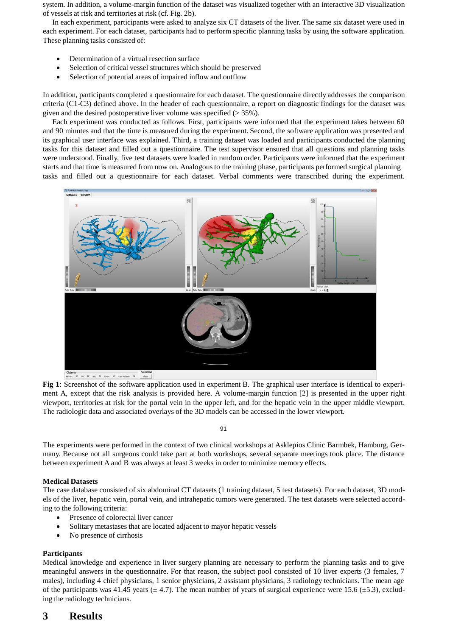system. In addition, a volume-margin function of the dataset was visualized together with an interactive 3D visualization of vessels at risk and territories at risk (cf. Fig. 2b).

In each experiment, participants were asked to analyze six CT datasets of the liver. The same six dataset were used in each experiment. For each dataset, participants had to perform specific planning tasks by using the software application. These planning tasks consisted of:

- Determination of a virtual resection surface
- Selection of critical vessel structures which should be preserved
- Selection of potential areas of impaired inflow and outflow

In addition, participants completed a questionnaire for each dataset. The questionnaire directly addresses the comparison criteria (C1-C3) defined above. In the header of each questionnaire, a report on diagnostic findings for the dataset was given and the desired postoperative liver volume was specified (> 35%).

Each experiment was conducted as follows. First, participants were informed that the experiment takes between 60 and 90 minutes and that the time is measured during the experiment. Second, the software application was presented and its graphical user interface was explained. Third, a training dataset was loaded and participants conducted the planning tasks for this dataset and filled out a questionnaire. The test supervisor ensured that all questions and planning tasks were understood. Finally, five test datasets were loaded in random order. Participants were informed that the experiment starts and that time is measured from now on. Analogous to the training phase, participants performed surgical planning tasks and filled out a questionnaire for each dataset. Verbal comments were transcribed during the experiment.



**Fig 1**: Screenshot of the software application used in experiment B. The graphical user interface is identical to experiment A, except that the risk analysis is provided here. A volume-margin function [2] is presented in the upper right viewport, territories at risk for the portal vein in the upper left, and for the hepatic vein in the upper middle viewport. The radiologic data and associated overlays of the 3D models can be accessed in the lower viewport.

91

The experiments were performed in the context of two clinical workshops at Asklepios Clinic Barmbek, Hamburg, Germany. Because not all surgeons could take part at both workshops, several separate meetings took place. The distance between experiment A and B was always at least 3 weeks in order to minimize memory effects.

### **Medical Datasets**

The case database consisted of six abdominal CT datasets (1 training dataset, 5 test datasets). For each dataset, 3D models of the liver, hepatic vein, portal vein, and intrahepatic tumors were generated. The test datasets were selected according to the following criteria:

- Presence of colorectal liver cancer
- Solitary metastases that are located adjacent to mayor hepatic vessels
- No presence of cirrhosis

### **Participants**

Medical knowledge and experience in liver surgery planning are necessary to perform the planning tasks and to give meaningful answers in the questionnaire. For that reason, the subject pool consisted of 10 liver experts (3 females, 7 males), including 4 chief physicians, 1 senior physicians, 2 assistant physicians, 3 radiology technicians. The mean age of the participants was 41.45 years  $(\pm 4.7)$ . The mean number of years of surgical experience were 15.6  $(\pm 5.3)$ , excluding the radiology technicians.

# **3 Results**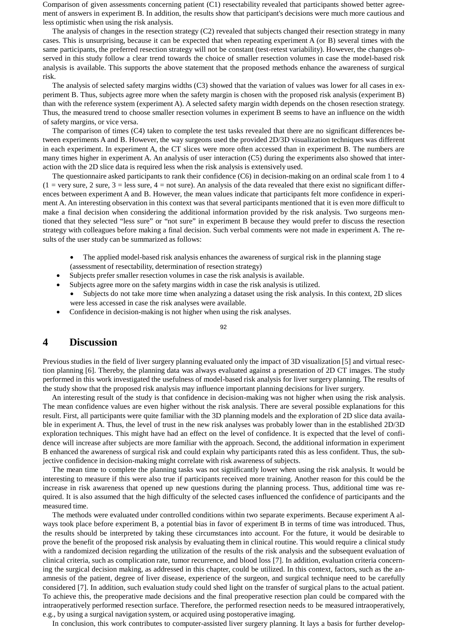Comparison of given assessments concerning patient (C1) resectability revealed that participants showed better agreement of answers in experiment B. In addition, the results show that participant's decisions were much more cautious and less optimistic when using the risk analysis.

The analysis of changes in the resection strategy  $(C2)$  revealed that subjects changed their resection strategy in many cases. This is unsurprising, because it can be expected that when repeating experiment A (or B) several times with the same participants, the preferred resection strategy will not be constant (test-retest variability). However, the changes observed in this study follow a clear trend towards the choice of smaller resection volumes in case the model-based risk analysis is available. This supports the above statement that the proposed methods enhance the awareness of surgical risk.

The analysis of selected safety margins widths (C3) showed that the variation of values was lower for all cases in experiment B. Thus, subjects agree more when the safety margin is chosen with the proposed risk analysis (experiment B) than with the reference system (experiment A). A selected safety margin width depends on the chosen resection strategy. Thus, the measured trend to choose smaller resection volumes in experiment B seems to have an influence on the width of safety margins, or vice versa.

The comparison of times (C4) taken to complete the test tasks revealed that there are no significant differences between experiments A and B. However, the way surgeons used the provided 2D/3D visualization techniques was different in each experiment. In experiment A, the CT slices were more often accessed than in experiment B. The numbers are many times higher in experiment A. An analysis of user interaction (C5) during the experiments also showed that interaction with the 2D slice data is required less when the risk analysis is extensively used.

The questionnaire asked participants to rank their confidence (C6) in decision-making on an ordinal scale from 1 to 4  $(1 = \text{very sure}, 2 \text{ sure}, 3 = \text{less sure}, 4 = \text{not sure})$ . An analysis of the data revealed that there exist no significant differences between experiment A and B. However, the mean values indicate that participants felt more confidence in experiment A. An interesting observation in this context was that several participants mentioned that it is even more difficult to make a final decision when considering the additional information provided by the risk analysis. Two surgeons mentioned that they selected "less sure" or "not sure" in experiment B because they would prefer to discuss the resection strategy with colleagues before making a final decision. Such verbal comments were not made in experiment A. The results of the user study can be summarized as follows:

- The applied model-based risk analysis enhances the awareness of surgical risk in the planning stage (assessment of resectability, determination of resection strategy)
- Subjects prefer smaller resection volumes in case the risk analysis is available.
- Subjects agree more on the safety margins width in case the risk analysis is utilized.
	- Subjects do not take more time when analyzing a dataset using the risk analysis. In this context, 2D slices were less accessed in case the risk analyses were available.
- Confidence in decision-making is not higher when using the risk analyses.

92

### **4 Discussion**

Previous studies in the field of liver surgery planning evaluated only the impact of 3D visualization [5] and virtual resection planning [6]. Thereby, the planning data was always evaluated against a presentation of 2D CT images. The study performed in this work investigated the usefulness of model-based risk analysis for liver surgery planning. The results of the study show that the proposed risk analysis may influence important planning decisions for liver surgery.

An interesting result of the study is that confidence in decision-making was not higher when using the risk analysis. The mean confidence values are even higher without the risk analysis. There are several possible explanations for this result. First, all participants were quite familiar with the 3D planning models and the exploration of 2D slice data available in experiment A. Thus, the level of trust in the new risk analyses was probably lower than in the established 2D/3D exploration techniques. This might have had an effect on the level of confidence. It is expected that the level of confidence will increase after subjects are more familiar with the approach. Second, the additional information in experiment B enhanced the awareness of surgical risk and could explain why participants rated this as less confident. Thus, the subjective confidence in decision-making might correlate with risk awareness of subjects.

The mean time to complete the planning tasks was not significantly lower when using the risk analysis. It would be interesting to measure if this were also true if participants received more training. Another reason for this could be the increase in risk awareness that opened up new questions during the planning process. Thus, additional time was required. It is also assumed that the high difficulty of the selected cases influenced the confidence of participants and the measured time.

The methods were evaluated under controlled conditions within two separate experiments. Because experiment A always took place before experiment B, a potential bias in favor of experiment B in terms of time was introduced. Thus, the results should be interpreted by taking these circumstances into account. For the future, it would be desirable to prove the benefit of the proposed risk analysis by evaluating them in clinical routine. This would require a clinical study with a randomized decision regarding the utilization of the results of the risk analysis and the subsequent evaluation of clinical criteria, such as complication rate, tumor recurrence, and blood loss [7]. In addition, evaluation criteria concerning the surgical decision making, as addressed in this chapter, could be utilized. In this context, factors, such as the anamnesis of the patient, degree of liver disease, experience of the surgeon, and surgical technique need to be carefully considered [7]. In addition, such evaluation study could shed light on the transfer of surgical plans to the actual patient. To achieve this, the preoperative made decisions and the final preoperative resection plan could be compared with the intraoperatively performed resection surface. Therefore, the performed resection needs to be measured intraoperatively, e.g., by using a surgical navigation system, or acquired using postoperative imaging.

In conclusion, this work contributes to computer-assisted liver surgery planning. It lays a basis for further develop-